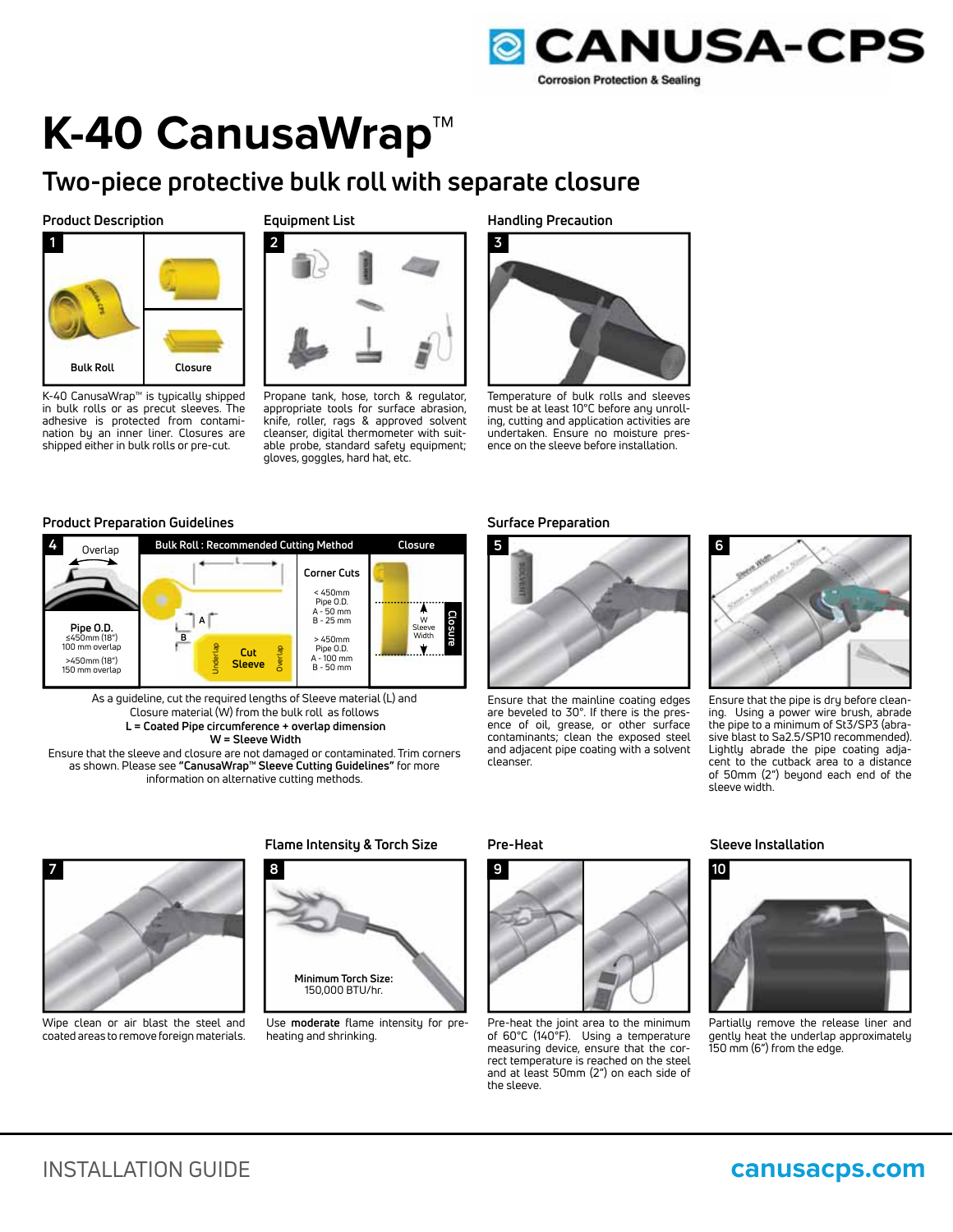

# **K-40 CanusaWrap™**

## **Two-piece protective bulk roll with separate closure**

### **Product Description**



K-40 CanusaWrap™ is typically shipped in bulk rolls or as precut sleeves. The adhesive is protected from contamination by an inner liner. Closures are shipped either in bulk rolls or pre-cut.

### **Equipment List**



Propane tank, hose, torch & regulator, appropriate tools for surface abrasion, knife, roller, rags & approved solvent cleanser, digital thermometer with suitable probe, standard safety equipment; gloves, goggles, hard hat, etc.

**Handling Precaution**



Temperature of bulk rolls and sleeves must be at least 10°C before any unrolling, cutting and application activities are undertaken. Ensure no moisture presence on the sleeve before installation.

### **Product Preparation Guidelines**



As a guideline, cut the required lengths of Sleeve material (L) and Closure material (W) from the bulk roll as follows  **L = Coated Pipe circumference + overlap dimension W = Sleeve Width**

Ensure that the sleeve and closure are not damaged or contaminated. Trim corners as shown. Please see **"CanusaWrap™ Sleeve Cutting Guidelines"** for more information on alternative cutting methods.

### **Surface Preparation**



Ensure that the mainline coating edges are beveled to 30°. If there is the presence of oil, grease, or other surface contaminants; clean the exposed steel and adjacent pipe coating with a solvent cleanser.



Ensure that the pipe is dry before cleaning. Using a power wire brush, abrade the pipe to a minimum of St3/SP3 (abrasive blast to Sa2.5/SP10 recommended). Lightly abrade the pipe coating adjacent to the cutback area to a distance of 50mm (2") beyond each end of the sleeve width.



Wipe clean or air blast the steel and coated areas to remove foreign materials.

### **Flame Intensity & Torch Size Sleeve Installation Pre-Heat**



Use **moderate** flame intensity for preheating and shrinking.



Pre-heat the joint area to the minimum of 60°C (140°F). Using a temperature measuring device, ensure that the correct temperature is reached on the steel and at least 50mm (2") on each side of the sleeve.



Partially remove the release liner and gently heat the underlap approximately 150 mm (6") from the edge.